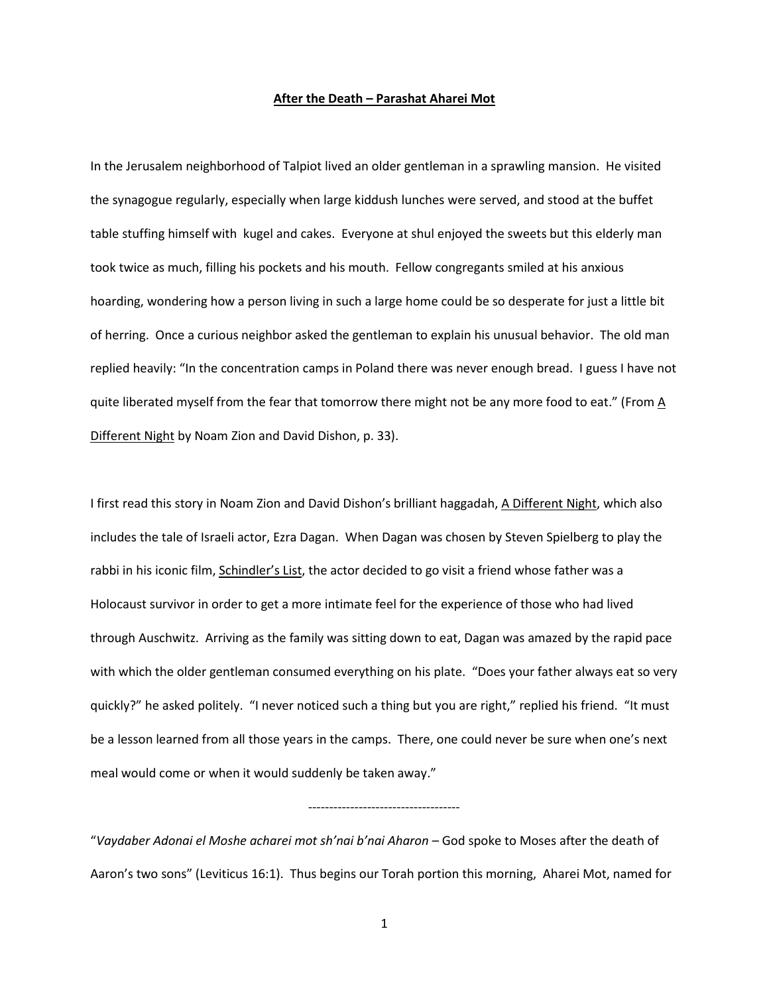## **After the Death – Parashat Aharei Mot**

In the Jerusalem neighborhood of Talpiot lived an older gentleman in a sprawling mansion. He visited the synagogue regularly, especially when large kiddush lunches were served, and stood at the buffet table stuffing himself with kugel and cakes. Everyone at shul enjoyed the sweets but this elderly man took twice as much, filling his pockets and his mouth. Fellow congregants smiled at his anxious hoarding, wondering how a person living in such a large home could be so desperate for just a little bit of herring. Once a curious neighbor asked the gentleman to explain his unusual behavior. The old man replied heavily: "In the concentration camps in Poland there was never enough bread. I guess I have not quite liberated myself from the fear that tomorrow there might not be any more food to eat." (From A Different Night by Noam Zion and David Dishon, p. 33).

I first read this story in Noam Zion and David Dishon's brilliant haggadah, A Different Night, which also includes the tale of Israeli actor, Ezra Dagan. When Dagan was chosen by Steven Spielberg to play the rabbi in his iconic film, Schindler's List, the actor decided to go visit a friend whose father was a Holocaust survivor in order to get a more intimate feel for the experience of those who had lived through Auschwitz. Arriving as the family was sitting down to eat, Dagan was amazed by the rapid pace with which the older gentleman consumed everything on his plate. "Does your father always eat so very quickly?" he asked politely. "I never noticed such a thing but you are right," replied his friend. "It must be a lesson learned from all those years in the camps. There, one could never be sure when one's next meal would come or when it would suddenly be taken away."

"*Vaydaber Adonai el Moshe acharei mot sh'nai b'nai Aharon –* God spoke to Moses after the death of Aaron's two sons" (Leviticus 16:1). Thus begins our Torah portion this morning, Aharei Mot, named for

------------------------------------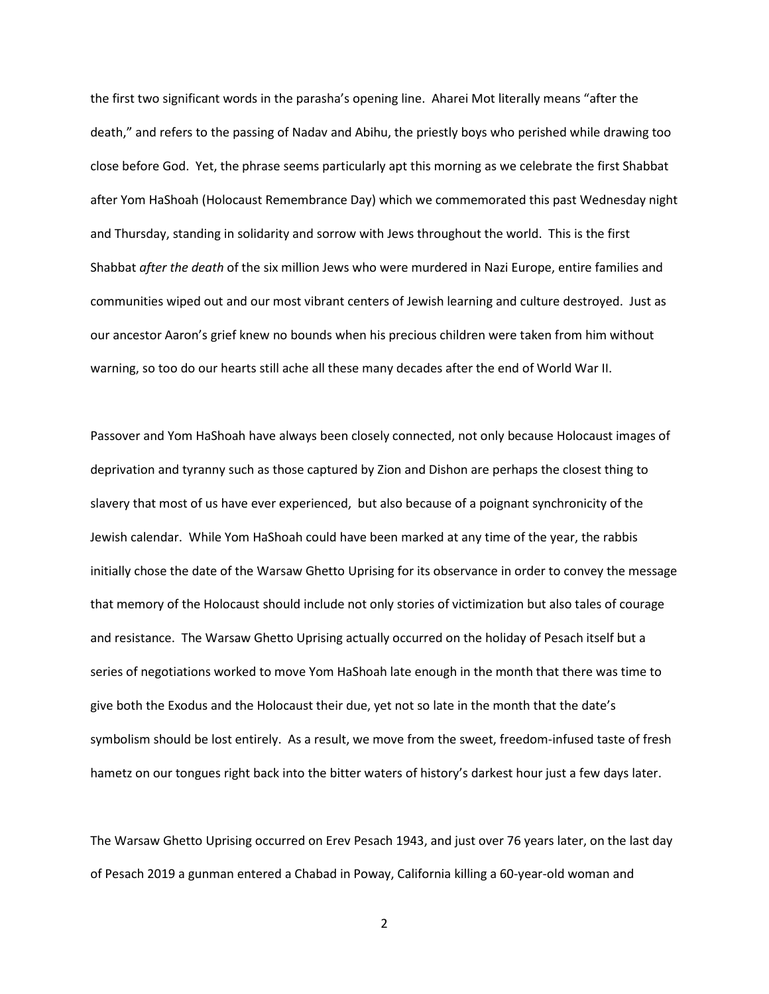the first two significant words in the parasha's opening line. Aharei Mot literally means "after the death," and refers to the passing of Nadav and Abihu, the priestly boys who perished while drawing too close before God. Yet, the phrase seems particularly apt this morning as we celebrate the first Shabbat after Yom HaShoah (Holocaust Remembrance Day) which we commemorated this past Wednesday night and Thursday, standing in solidarity and sorrow with Jews throughout the world. This is the first Shabbat *after the death* of the six million Jews who were murdered in Nazi Europe, entire families and communities wiped out and our most vibrant centers of Jewish learning and culture destroyed. Just as our ancestor Aaron's grief knew no bounds when his precious children were taken from him without warning, so too do our hearts still ache all these many decades after the end of World War II.

Passover and Yom HaShoah have always been closely connected, not only because Holocaust images of deprivation and tyranny such as those captured by Zion and Dishon are perhaps the closest thing to slavery that most of us have ever experienced, but also because of a poignant synchronicity of the Jewish calendar. While Yom HaShoah could have been marked at any time of the year, the rabbis initially chose the date of the Warsaw Ghetto Uprising for its observance in order to convey the message that memory of the Holocaust should include not only stories of victimization but also tales of courage and resistance. The Warsaw Ghetto Uprising actually occurred on the holiday of Pesach itself but a series of negotiations worked to move Yom HaShoah late enough in the month that there was time to give both the Exodus and the Holocaust their due, yet not so late in the month that the date's symbolism should be lost entirely. As a result, we move from the sweet, freedom-infused taste of fresh hametz on our tongues right back into the bitter waters of history's darkest hour just a few days later.

The Warsaw Ghetto Uprising occurred on Erev Pesach 1943, and just over 76 years later, on the last day of Pesach 2019 a gunman entered a Chabad in Poway, California killing a 60-year-old woman and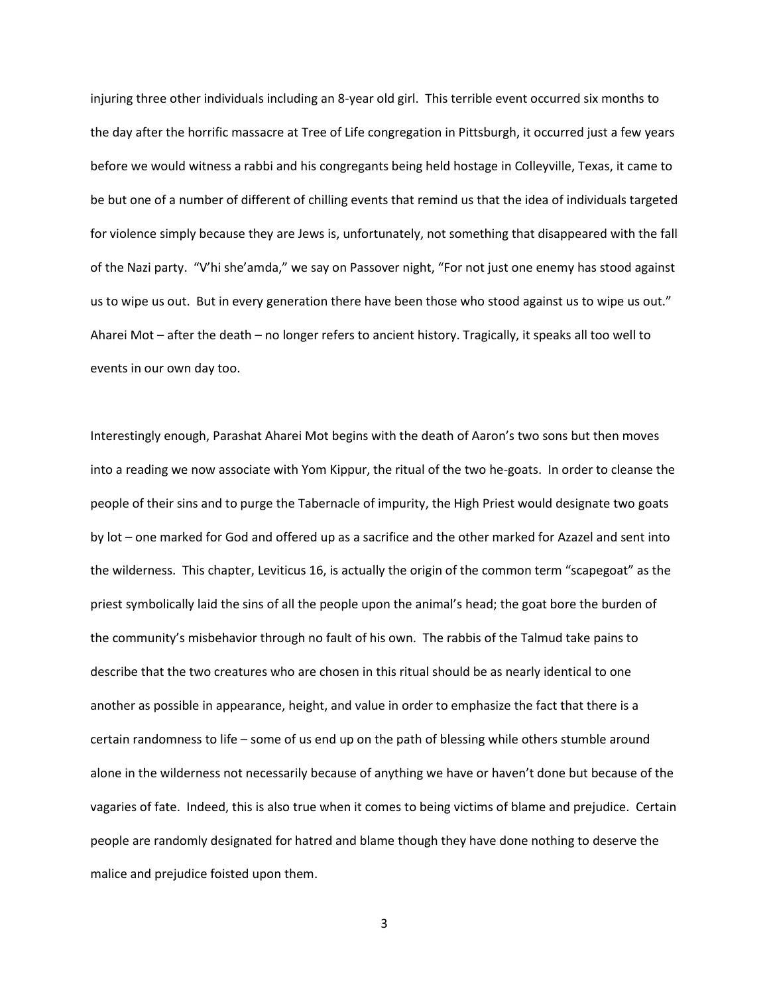injuring three other individuals including an 8-year old girl. This terrible event occurred six months to the day after the horrific massacre at Tree of Life congregation in Pittsburgh, it occurred just a few years before we would witness a rabbi and his congregants being held hostage in Colleyville, Texas, it came to be but one of a number of different of chilling events that remind us that the idea of individuals targeted for violence simply because they are Jews is, unfortunately, not something that disappeared with the fall of the Nazi party. "V'hi she'amda," we say on Passover night, "For not just one enemy has stood against us to wipe us out. But in every generation there have been those who stood against us to wipe us out." Aharei Mot – after the death – no longer refers to ancient history. Tragically, it speaks all too well to events in our own day too.

Interestingly enough, Parashat Aharei Mot begins with the death of Aaron's two sons but then moves into a reading we now associate with Yom Kippur, the ritual of the two he-goats. In order to cleanse the people of their sins and to purge the Tabernacle of impurity, the High Priest would designate two goats by lot – one marked for God and offered up as a sacrifice and the other marked for Azazel and sent into the wilderness. This chapter, Leviticus 16, is actually the origin of the common term "scapegoat" as the priest symbolically laid the sins of all the people upon the animal's head; the goat bore the burden of the community's misbehavior through no fault of his own. The rabbis of the Talmud take pains to describe that the two creatures who are chosen in this ritual should be as nearly identical to one another as possible in appearance, height, and value in order to emphasize the fact that there is a certain randomness to life – some of us end up on the path of blessing while others stumble around alone in the wilderness not necessarily because of anything we have or haven't done but because of the vagaries of fate. Indeed, this is also true when it comes to being victims of blame and prejudice. Certain people are randomly designated for hatred and blame though they have done nothing to deserve the malice and prejudice foisted upon them.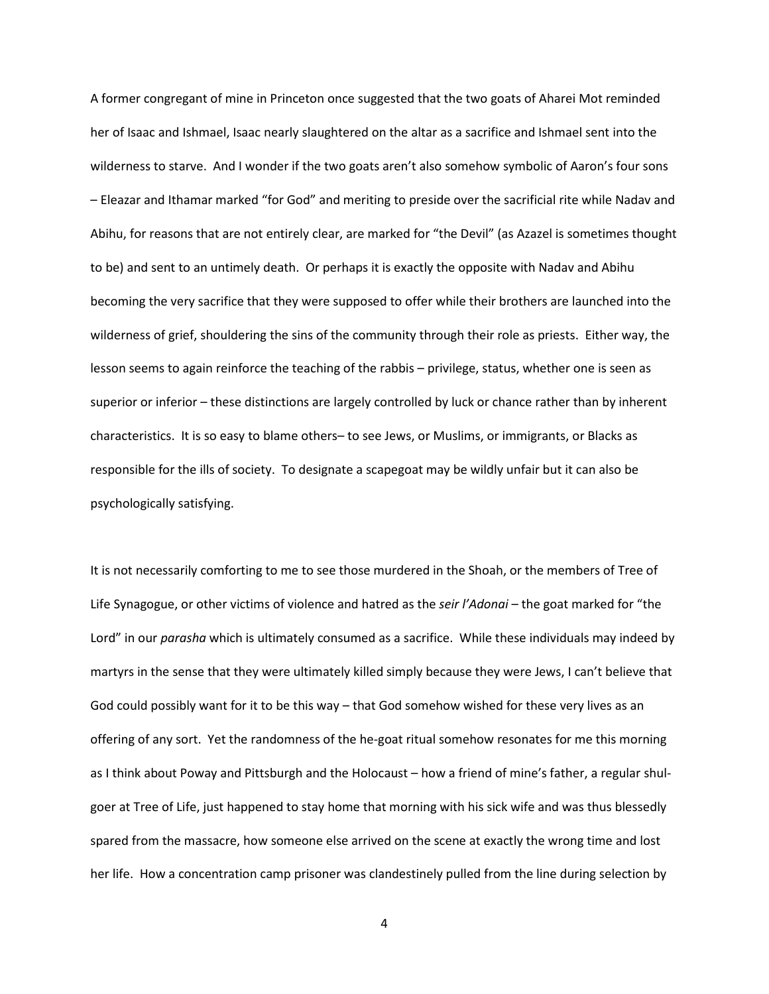A former congregant of mine in Princeton once suggested that the two goats of Aharei Mot reminded her of Isaac and Ishmael, Isaac nearly slaughtered on the altar as a sacrifice and Ishmael sent into the wilderness to starve. And I wonder if the two goats aren't also somehow symbolic of Aaron's four sons – Eleazar and Ithamar marked "for God" and meriting to preside over the sacrificial rite while Nadav and Abihu, for reasons that are not entirely clear, are marked for "the Devil" (as Azazel is sometimes thought to be) and sent to an untimely death. Or perhaps it is exactly the opposite with Nadav and Abihu becoming the very sacrifice that they were supposed to offer while their brothers are launched into the wilderness of grief, shouldering the sins of the community through their role as priests. Either way, the lesson seems to again reinforce the teaching of the rabbis – privilege, status, whether one is seen as superior or inferior – these distinctions are largely controlled by luck or chance rather than by inherent characteristics. It is so easy to blame others– to see Jews, or Muslims, or immigrants, or Blacks as responsible for the ills of society. To designate a scapegoat may be wildly unfair but it can also be psychologically satisfying.

It is not necessarily comforting to me to see those murdered in the Shoah, or the members of Tree of Life Synagogue, or other victims of violence and hatred as the *seir l'Adonai* – the goat marked for "the Lord" in our *parasha* which is ultimately consumed as a sacrifice. While these individuals may indeed by martyrs in the sense that they were ultimately killed simply because they were Jews, I can't believe that God could possibly want for it to be this way – that God somehow wished for these very lives as an offering of any sort. Yet the randomness of the he-goat ritual somehow resonates for me this morning as I think about Poway and Pittsburgh and the Holocaust – how a friend of mine's father, a regular shulgoer at Tree of Life, just happened to stay home that morning with his sick wife and was thus blessedly spared from the massacre, how someone else arrived on the scene at exactly the wrong time and lost her life. How a concentration camp prisoner was clandestinely pulled from the line during selection by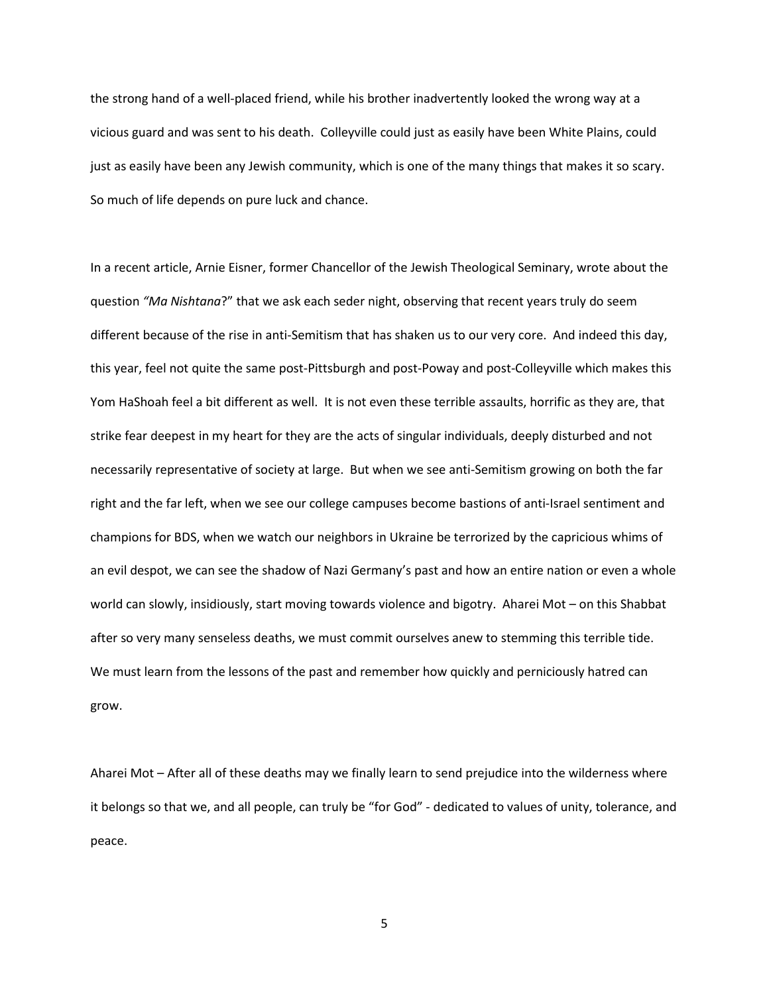the strong hand of a well-placed friend, while his brother inadvertently looked the wrong way at a vicious guard and was sent to his death. Colleyville could just as easily have been White Plains, could just as easily have been any Jewish community, which is one of the many things that makes it so scary. So much of life depends on pure luck and chance.

In a recent article, Arnie Eisner, former Chancellor of the Jewish Theological Seminary, wrote about the question *"Ma Nishtana*?" that we ask each seder night, observing that recent years truly do seem different because of the rise in anti-Semitism that has shaken us to our very core. And indeed this day, this year, feel not quite the same post-Pittsburgh and post-Poway and post-Colleyville which makes this Yom HaShoah feel a bit different as well. It is not even these terrible assaults, horrific as they are, that strike fear deepest in my heart for they are the acts of singular individuals, deeply disturbed and not necessarily representative of society at large. But when we see anti-Semitism growing on both the far right and the far left, when we see our college campuses become bastions of anti-Israel sentiment and champions for BDS, when we watch our neighbors in Ukraine be terrorized by the capricious whims of an evil despot, we can see the shadow of Nazi Germany's past and how an entire nation or even a whole world can slowly, insidiously, start moving towards violence and bigotry. Aharei Mot – on this Shabbat after so very many senseless deaths, we must commit ourselves anew to stemming this terrible tide. We must learn from the lessons of the past and remember how quickly and perniciously hatred can grow.

Aharei Mot – After all of these deaths may we finally learn to send prejudice into the wilderness where it belongs so that we, and all people, can truly be "for God" - dedicated to values of unity, tolerance, and peace.